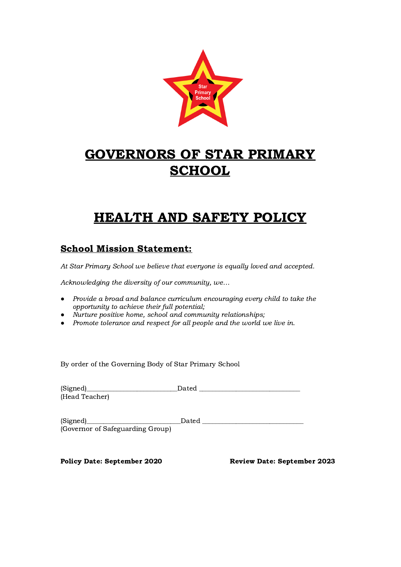

# GOVERNORS OF STAR PRIMARY **SCHOOL**

# HEALTH AND SAFETY POLICY

# School Mission Statement:

At Star Primary School we believe that everyone is equally loved and accepted.

Acknowledging the diversity of our community, we…

- Provide a broad and balance curriculum encouraging every child to take the opportunity to achieve their full potential;
- Nurture positive home, school and community relationships;
- Promote tolerance and respect for all people and the world we live in.

By order of the Governing Body of Star Primary School

|                                  | Dated |
|----------------------------------|-------|
| (Head Teacher)                   |       |
|                                  |       |
| (Signed)_                        | Dated |
| (Governor of Safeguarding Group) |       |
|                                  |       |
|                                  |       |

Policy Date: September 2020 Review Date: September 2023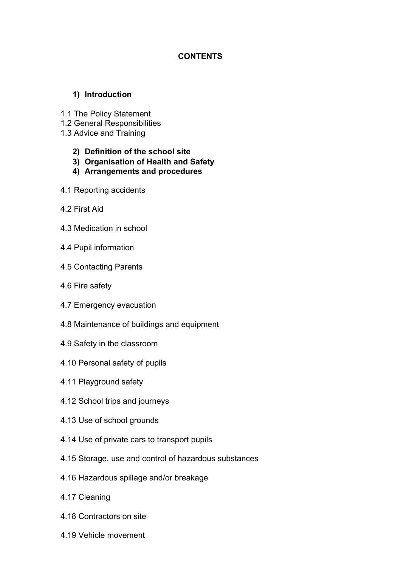# **CONTENTS**

# **1) Introduction**

- 1.1 The Policy Statement
- 1.2 General Responsibilities
- 1.3 Advice and Training
	- **2) Definition of the school site**
	- **3) Organisation of Health and Safety**
	- **4) Arrangements and procedures**
- 4.1 Reporting accidents
- 4.2 First Aid
- 4.3 Medication in school
- 4.4 Pupil information
- 4.5 Contacting Parents
- 4.6 Fire safety
- 4.7 Emergency evacuation
- 4.8 Maintenance of buildings and equipment
- 4.9 Safety in the classroom
- 4.10 Personal safety of pupils
- 4.11 Playground safety
- 4.12 School trips and journeys
- 4.13 Use of school grounds
- 4.14 Use of private cars to transport pupils
- 4.15 Storage, use and control of hazardous substances
- 4.16 Hazardous spillage and/or breakage
- 4.17 Cleaning
- 4.18 Contractors on site
- 4.19 Vehicle movement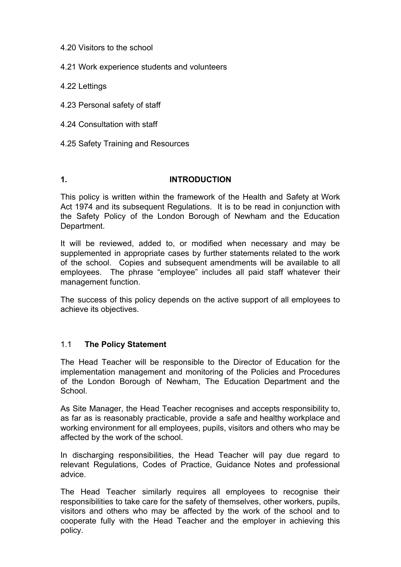#### 4.20 Visitors to the school

### 4.21 Work experience students and volunteers

4.22 Lettings

- 4.23 Personal safety of staff
- 4.24 Consultation with staff
- 4.25 Safety Training and Resources

# **1. INTRODUCTION**

This policy is written within the framework of the Health and Safety at Work Act 1974 and its subsequent Regulations. It is to be read in conjunction with the Safety Policy of the London Borough of Newham and the Education Department.

It will be reviewed, added to, or modified when necessary and may be supplemented in appropriate cases by further statements related to the work of the school. Copies and subsequent amendments will be available to all employees. The phrase "employee" includes all paid staff whatever their management function.

The success of this policy depends on the active support of all employees to achieve its objectives.

# 1.1 **The Policy Statement**

The Head Teacher will be responsible to the Director of Education for the implementation management and monitoring of the Policies and Procedures of the London Borough of Newham, The Education Department and the School.

As Site Manager, the Head Teacher recognises and accepts responsibility to, as far as is reasonably practicable, provide a safe and healthy workplace and working environment for all employees, pupils, visitors and others who may be affected by the work of the school.

In discharging responsibilities, the Head Teacher will pay due regard to relevant Regulations, Codes of Practice, Guidance Notes and professional advice.

The Head Teacher similarly requires all employees to recognise their responsibilities to take care for the safety of themselves, other workers, pupils, visitors and others who may be affected by the work of the school and to cooperate fully with the Head Teacher and the employer in achieving this policy.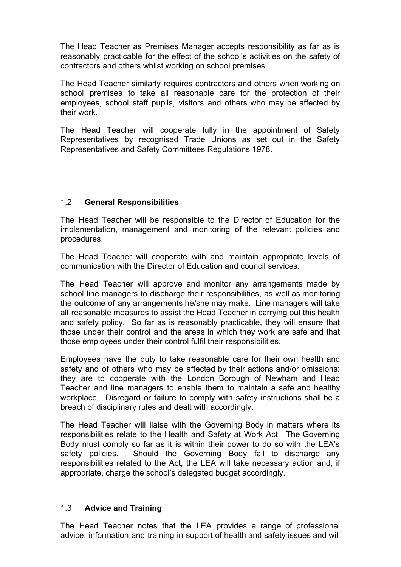The Head Teacher as Premises Manager accepts responsibility as far as is reasonably practicable for the effect of the school's activities on the safety of contractors and others whilst working on school premises.

The Head Teacher similarly requires contractors and others when working on school premises to take all reasonable care for the protection of their employees, school staff pupils, visitors and others who may be affected by their work.

The Head Teacher will cooperate fully in the appointment of Safety Representatives by recognised Trade Unions as set out in the Safety Representatives and Safety Committees Regulations 1978.

# 1.2 **General Responsibilities**

The Head Teacher will be responsible to the Director of Education for the implementation, management and monitoring of the relevant policies and procedures.

The Head Teacher will cooperate with and maintain appropriate levels of communication with the Director of Education and council services.

The Head Teacher will approve and monitor any arrangements made by school line managers to discharge their responsibilities, as well as monitoring the outcome of any arrangements he/she may make. Line managers will take all reasonable measures to assist the Head Teacher in carrying out this health and safety policy. So far as is reasonably practicable, they will ensure that those under their control and the areas in which they work are safe and that those employees under their control fulfil their responsibilities.

Employees have the duty to take reasonable care for their own health and safety and of others who may be affected by their actions and/or omissions: they are to cooperate with the London Borough of Newham and Head Teacher and line managers to enable them to maintain a safe and healthy workplace. Disregard or failure to comply with safety instructions shall be a breach of disciplinary rules and dealt with accordingly.

The Head Teacher will liaise with the Governing Body in matters where its responsibilities relate to the Health and Safety at Work Act. The Governing Body must comply so far as it is within their power to do so with the LEA's safety policies. Should the Governing Body fail to discharge any responsibilities related to the Act, the LEA will take necessary action and, if appropriate, charge the school's delegated budget accordingly.

# 1.3 **Advice and Training**

The Head Teacher notes that the LEA provides a range of professional advice, information and training in support of health and safety issues and will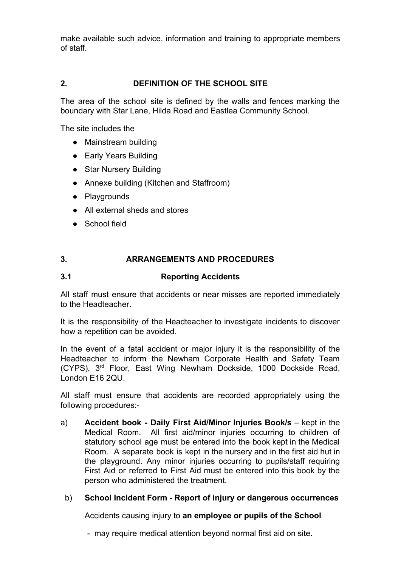make available such advice, information and training to appropriate members of staff.

# **2. DEFINITION OF THE SCHOOL SITE**

The area of the school site is defined by the walls and fences marking the boundary with Star Lane, Hilda Road and Eastlea Community School.

The site includes the

- Mainstream building
- Early Years Building
- Star Nursery Building
- Annexe building (Kitchen and Staffroom)
- Playgrounds
- All external sheds and stores
- School field

# **3. ARRANGEMENTS AND PROCEDURES**

# **3.1 Reporting Accidents**

All staff must ensure that accidents or near misses are reported immediately to the Headteacher.

It is the responsibility of the Headteacher to investigate incidents to discover how a repetition can be avoided.

In the event of a fatal accident or major injury it is the responsibility of the Headteacher to inform the Newham Corporate Health and Safety Team (CYPS), 3 rd Floor, East Wing Newham Dockside, 1000 Dockside Road, London E16 2QU.

All staff must ensure that accidents are recorded appropriately using the following procedures:-

a) **Accident book - Daily First Aid/Minor Injuries Book/s** – kept in the Medical Room. All first aid/minor injuries occurring to children of statutory school age must be entered into the book kept in the Medical Room. A separate book is kept in the nursery and in the first aid hut in the playground. Any minor injuries occurring to pupils/staff requiring First Aid or referred to First Aid must be entered into this book by the person who administered the treatment.

#### b) **School Incident Form - Report of injury or dangerous occurrences**

Accidents causing injury to **an employee or pupils of the School**

- may require medical attention beyond normal first aid on site.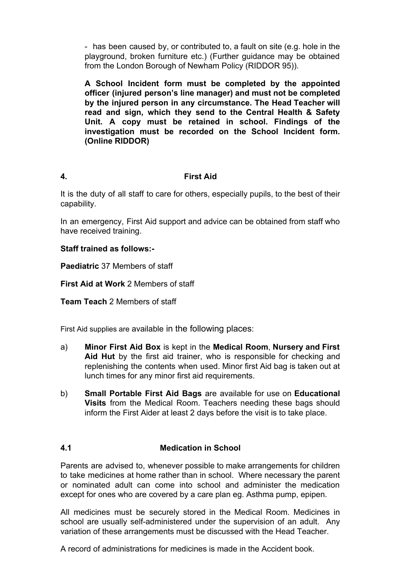- has been caused by, or contributed to, a fault on site (e.g. hole in the playground, broken furniture etc.) (Further guidance may be obtained from the London Borough of Newham Policy (RIDDOR 95)).

**A School Incident form must be completed by the appointed officer (injured person's line manager) and must not be completed by the injured person in any circumstance. The Head Teacher will read and sign, which they send to the Central Health & Safety Unit. A copy must be retained in school. Findings of the investigation must be recorded on the School Incident form. (Online RIDDOR)**

### **4. First Aid**

It is the duty of all staff to care for others, especially pupils, to the best of their capability.

In an emergency, First Aid support and advice can be obtained from staff who have received training.

**Staff trained as follows:-**

**Paediatric** 37 Members of staff

**First Aid at Work** 2 Members of staff

**Team Teach** 2 Members of staff

First Aid supplies are available in the following places:

- a) **Minor First Aid Box** is kept in the **Medical Room**, **Nursery and First Aid Hut** by the first aid trainer, who is responsible for checking and replenishing the contents when used. Minor first Aid bag is taken out at lunch times for any minor first aid requirements.
- b) **Small Portable First Aid Bags** are available for use on **Educational Visits** from the Medical Room. Teachers needing these bags should inform the First Aider at least 2 days before the visit is to take place.

# **4.1 Medication in School**

Parents are advised to, whenever possible to make arrangements for children to take medicines at home rather than in school. Where necessary the parent or nominated adult can come into school and administer the medication except for ones who are covered by a care plan eg. Asthma pump, epipen.

All medicines must be securely stored in the Medical Room. Medicines in school are usually self-administered under the supervision of an adult. Any variation of these arrangements must be discussed with the Head Teacher.

A record of administrations for medicines is made in the Accident book.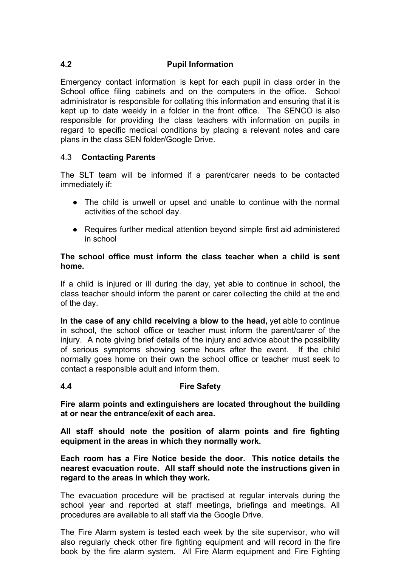# **4.2 Pupil Information**

Emergency contact information is kept for each pupil in class order in the School office filing cabinets and on the computers in the office. School administrator is responsible for collating this information and ensuring that it is kept up to date weekly in a folder in the front office. The SENCO is also responsible for providing the class teachers with information on pupils in regard to specific medical conditions by placing a relevant notes and care plans in the class SEN folder/Google Drive.

# 4.3 **Contacting Parents**

The SLT team will be informed if a parent/carer needs to be contacted immediately if:

- The child is unwell or upset and unable to continue with the normal activities of the school day.
- Requires further medical attention beyond simple first aid administered in school

### **The school office must inform the class teacher when a child is sent home.**

If a child is injured or ill during the day, yet able to continue in school, the class teacher should inform the parent or carer collecting the child at the end of the day.

**In the case of any child receiving a blow to the head,** yet able to continue in school, the school office or teacher must inform the parent/carer of the injury. A note giving brief details of the injury and advice about the possibility of serious symptoms showing some hours after the event. If the child normally goes home on their own the school office or teacher must seek to contact a responsible adult and inform them.

#### **4.4 Fire Safety**

**Fire alarm points and extinguishers are located throughout the building at or near the entrance/exit of each area.**

**All staff should note the position of alarm points and fire fighting equipment in the areas in which they normally work.**

**Each room has a Fire Notice beside the door. This notice details the nearest evacuation route. All staff should note the instructions given in regard to the areas in which they work.**

The evacuation procedure will be practised at regular intervals during the school year and reported at staff meetings, briefings and meetings. All procedures are available to all staff via the Google Drive.

The Fire Alarm system is tested each week by the site supervisor, who will also regularly check other fire fighting equipment and will record in the fire book by the fire alarm system. All Fire Alarm equipment and Fire Fighting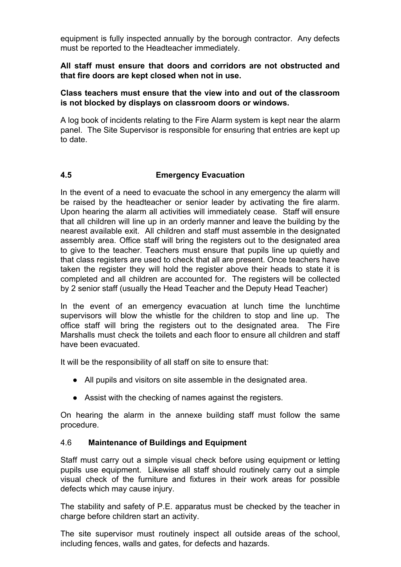equipment is fully inspected annually by the borough contractor. Any defects must be reported to the Headteacher immediately.

#### **All staff must ensure that doors and corridors are not obstructed and that fire doors are kept closed when not in use.**

#### **Class teachers must ensure that the view into and out of the classroom is not blocked by displays on classroom doors or windows.**

A log book of incidents relating to the Fire Alarm system is kept near the alarm panel. The Site Supervisor is responsible for ensuring that entries are kept up to date.

# **4.5 Emergency Evacuation**

In the event of a need to evacuate the school in any emergency the alarm will be raised by the headteacher or senior leader by activating the fire alarm. Upon hearing the alarm all activities will immediately cease. Staff will ensure that all children will line up in an orderly manner and leave the building by the nearest available exit. All children and staff must assemble in the designated assembly area. Office staff will bring the registers out to the designated area to give to the teacher. Teachers must ensure that pupils line up quietly and that class registers are used to check that all are present. Once teachers have taken the register they will hold the register above their heads to state it is completed and all children are accounted for. The registers will be collected by 2 senior staff (usually the Head Teacher and the Deputy Head Teacher)

In the event of an emergency evacuation at lunch time the lunchtime supervisors will blow the whistle for the children to stop and line up. The office staff will bring the registers out to the designated area. The Fire Marshalls must check the toilets and each floor to ensure all children and staff have been evacuated.

It will be the responsibility of all staff on site to ensure that:

- All pupils and visitors on site assemble in the designated area.
- Assist with the checking of names against the registers.

On hearing the alarm in the annexe building staff must follow the same procedure.

#### 4.6 **Maintenance of Buildings and Equipment**

Staff must carry out a simple visual check before using equipment or letting pupils use equipment. Likewise all staff should routinely carry out a simple visual check of the furniture and fixtures in their work areas for possible defects which may cause injury.

The stability and safety of P.E. apparatus must be checked by the teacher in charge before children start an activity.

The site supervisor must routinely inspect all outside areas of the school, including fences, walls and gates, for defects and hazards.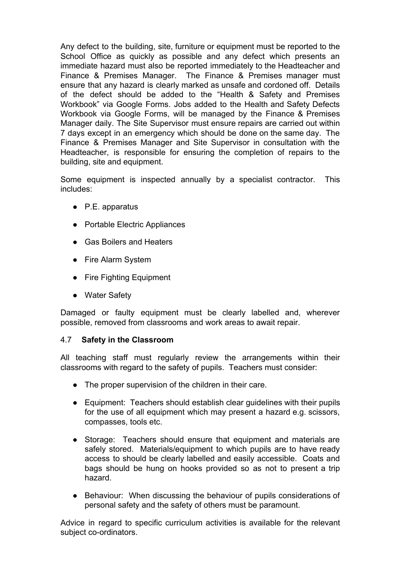Any defect to the building, site, furniture or equipment must be reported to the School Office as quickly as possible and any defect which presents an immediate hazard must also be reported immediately to the Headteacher and Finance & Premises Manager. The Finance & Premises manager must ensure that any hazard is clearly marked as unsafe and cordoned off. Details of the defect should be added to the "Health & Safety and Premises Workbook" via Google Forms. Jobs added to the Health and Safety Defects Workbook via Google Forms, will be managed by the Finance & Premises Manager daily. The Site Supervisor must ensure repairs are carried out within 7 days except in an emergency which should be done on the same day. The Finance & Premises Manager and Site Supervisor in consultation with the Headteacher, is responsible for ensuring the completion of repairs to the building, site and equipment.

Some equipment is inspected annually by a specialist contractor. This includes:

- P.E. apparatus
- Portable Electric Appliances
- Gas Boilers and Heaters
- Fire Alarm System
- Fire Fighting Equipment
- Water Safety

Damaged or faulty equipment must be clearly labelled and, wherever possible, removed from classrooms and work areas to await repair.

# 4.7 **Safety in the Classroom**

All teaching staff must regularly review the arrangements within their classrooms with regard to the safety of pupils. Teachers must consider:

- The proper supervision of the children in their care.
- Equipment: Teachers should establish clear guidelines with their pupils for the use of all equipment which may present a hazard e.g. scissors, compasses, tools etc.
- Storage: Teachers should ensure that equipment and materials are safely stored. Materials/equipment to which pupils are to have ready access to should be clearly labelled and easily accessible. Coats and bags should be hung on hooks provided so as not to present a trip hazard.
- Behaviour: When discussing the behaviour of pupils considerations of personal safety and the safety of others must be paramount.

Advice in regard to specific curriculum activities is available for the relevant subject co-ordinators.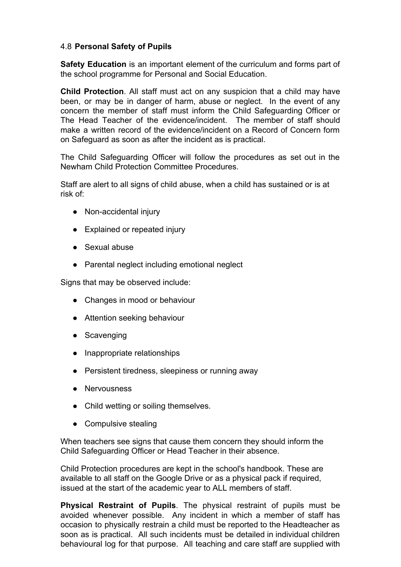### 4.8 **Personal Safety of Pupils**

**Safety Education** is an important element of the curriculum and forms part of the school programme for Personal and Social Education.

**Child Protection**. All staff must act on any suspicion that a child may have been, or may be in danger of harm, abuse or neglect. In the event of any concern the member of staff must inform the Child Safeguarding Officer or The Head Teacher of the evidence/incident. The member of staff should make a written record of the evidence/incident on a Record of Concern form on Safeguard as soon as after the incident as is practical.

The Child Safeguarding Officer will follow the procedures as set out in the Newham Child Protection Committee Procedures.

Staff are alert to all signs of child abuse, when a child has sustained or is at risk of:

- Non-accidental injury
- Explained or repeated injury
- Sexual abuse
- Parental neglect including emotional neglect

Signs that may be observed include:

- Changes in mood or behaviour
- Attention seeking behaviour
- Scavenging
- Inappropriate relationships
- Persistent tiredness, sleepiness or running away
- Nervousness
- Child wetting or soiling themselves.
- Compulsive stealing

When teachers see signs that cause them concern they should inform the Child Safeguarding Officer or Head Teacher in their absence.

Child Protection procedures are kept in the school's handbook. These are available to all staff on the Google Drive or as a physical pack if required, issued at the start of the academic year to ALL members of staff.

**Physical Restraint of Pupils**. The physical restraint of pupils must be avoided whenever possible. Any incident in which a member of staff has occasion to physically restrain a child must be reported to the Headteacher as soon as is practical. All such incidents must be detailed in individual children behavioural log for that purpose. All teaching and care staff are supplied with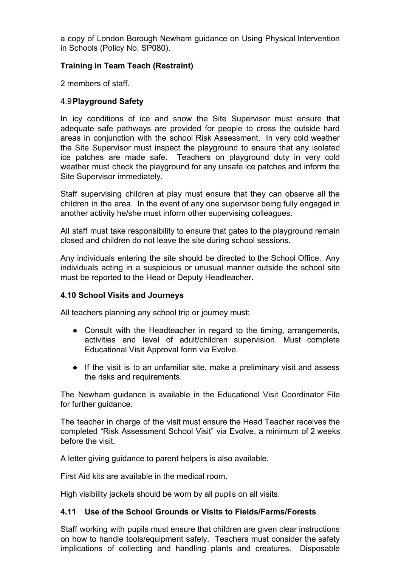a copy of London Borough Newham guidance on Using Physical Intervention in Schools (Policy No. SP080).

# **Training in Team Teach (Restraint)**

2 members of staff.

# 4.9**Playground Safety**

In icy conditions of ice and snow the Site Supervisor must ensure that adequate safe pathways are provided for people to cross the outside hard areas in conjunction with the school Risk Assessment. In very cold weather the Site Supervisor must inspect the playground to ensure that any isolated ice patches are made safe. Teachers on playground duty in very cold weather must check the playground for any unsafe ice patches and inform the Site Supervisor immediately.

Staff supervising children at play must ensure that they can observe all the children in the area. In the event of any one supervisor being fully engaged in another activity he/she must inform other supervising colleagues.

All staff must take responsibility to ensure that gates to the playground remain closed and children do not leave the site during school sessions.

Any individuals entering the site should be directed to the School Office. Any individuals acting in a suspicious or unusual manner outside the school site must be reported to the Head or Deputy Headteacher.

# **4.10 School Visits and Journeys**

All teachers planning any school trip or journey must:

- Consult with the Headteacher in regard to the timing, arrangements, activities and level of adult/children supervision. Must complete Educational Visit Approval form via Evolve.
- If the visit is to an unfamiliar site, make a preliminary visit and assess the risks and requirements.

The Newham guidance is available in the Educational Visit Coordinator File for further guidance.

The teacher in charge of the visit must ensure the Head Teacher receives the completed "Risk Assessment School Visit" via Evolve, a minimum of 2 weeks before the visit.

A letter giving guidance to parent helpers is also available.

First Aid kits are available in the medical room.

High visibility jackets should be worn by all pupils on all visits.

# **4.11 Use of the School Grounds or Visits to Fields/Farms/Forests**

Staff working with pupils must ensure that children are given clear instructions on how to handle tools/equipment safely. Teachers must consider the safety implications of collecting and handling plants and creatures. Disposable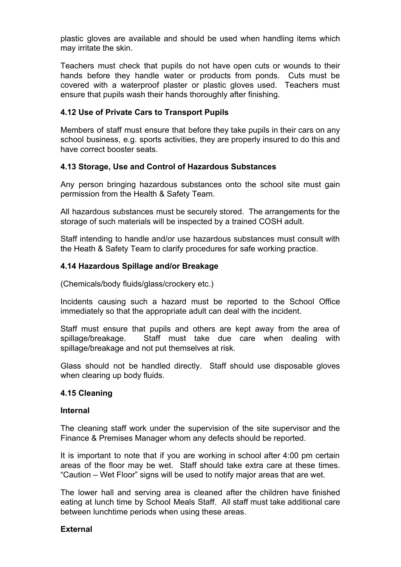plastic gloves are available and should be used when handling items which may irritate the skin.

Teachers must check that pupils do not have open cuts or wounds to their hands before they handle water or products from ponds. Cuts must be covered with a waterproof plaster or plastic gloves used. Teachers must ensure that pupils wash their hands thoroughly after finishing.

#### **4.12 Use of Private Cars to Transport Pupils**

Members of staff must ensure that before they take pupils in their cars on any school business, e.g. sports activities, they are properly insured to do this and have correct booster seats.

#### **4.13 Storage, Use and Control of Hazardous Substances**

Any person bringing hazardous substances onto the school site must gain permission from the Health & Safety Team.

All hazardous substances must be securely stored. The arrangements for the storage of such materials will be inspected by a trained COSH adult.

Staff intending to handle and/or use hazardous substances must consult with the Heath & Safety Team to clarify procedures for safe working practice.

#### **4.14 Hazardous Spillage and/or Breakage**

(Chemicals/body fluids/glass/crockery etc.)

Incidents causing such a hazard must be reported to the School Office immediately so that the appropriate adult can deal with the incident.

Staff must ensure that pupils and others are kept away from the area of spillage/breakage. Staff must take due care when dealing with spillage/breakage and not put themselves at risk.

Glass should not be handled directly. Staff should use disposable gloves when clearing up body fluids.

#### **4.15 Cleaning**

#### **Internal**

The cleaning staff work under the supervision of the site supervisor and the Finance & Premises Manager whom any defects should be reported.

It is important to note that if you are working in school after 4:00 pm certain areas of the floor may be wet. Staff should take extra care at these times. "Caution – Wet Floor" signs will be used to notify major areas that are wet.

The lower hall and serving area is cleaned after the children have finished eating at lunch time by School Meals Staff. All staff must take additional care between lunchtime periods when using these areas.

#### **External**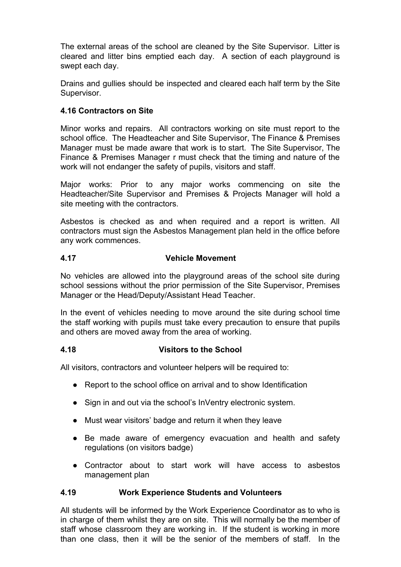The external areas of the school are cleaned by the Site Supervisor. Litter is cleared and litter bins emptied each day. A section of each playground is swept each day.

Drains and gullies should be inspected and cleared each half term by the Site Supervisor.

# **4.16 Contractors on Site**

Minor works and repairs. All contractors working on site must report to the school office. The Headteacher and Site Supervisor, The Finance & Premises Manager must be made aware that work is to start. The Site Supervisor, The Finance & Premises Manager r must check that the timing and nature of the work will not endanger the safety of pupils, visitors and staff.

Major works: Prior to any major works commencing on site the Headteacher/Site Supervisor and Premises & Projects Manager will hold a site meeting with the contractors.

Asbestos is checked as and when required and a report is written. All contractors must sign the Asbestos Management plan held in the office before any work commences.

# **4.17 Vehicle Movement**

No vehicles are allowed into the playground areas of the school site during school sessions without the prior permission of the Site Supervisor, Premises Manager or the Head/Deputy/Assistant Head Teacher.

In the event of vehicles needing to move around the site during school time the staff working with pupils must take every precaution to ensure that pupils and others are moved away from the area of working.

# **4.18 Visitors to the School**

All visitors, contractors and volunteer helpers will be required to:

- Report to the school office on arrival and to show Identification
- Sign in and out via the school's InVentry electronic system.
- Must wear visitors' badge and return it when they leave
- Be made aware of emergency evacuation and health and safety regulations (on visitors badge)
- Contractor about to start work will have access to asbestos management plan

# **4.19 Work Experience Students and Volunteers**

All students will be informed by the Work Experience Coordinator as to who is in charge of them whilst they are on site. This will normally be the member of staff whose classroom they are working in. If the student is working in more than one class, then it will be the senior of the members of staff. In the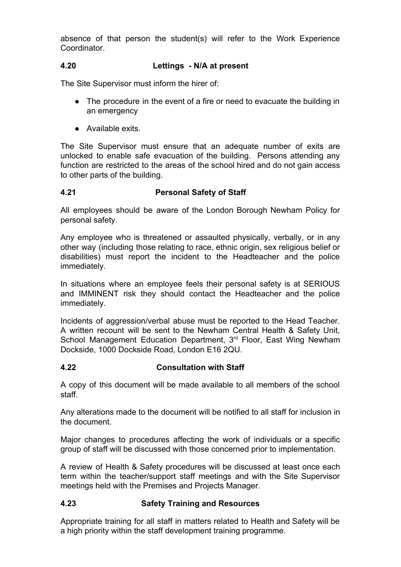absence of that person the student(s) will refer to the Work Experience Coordinator.

# **4.20 Lettings - N/A at present**

The Site Supervisor must inform the hirer of:

- The procedure in the event of a fire or need to evacuate the building in an emergency
- Available exits.

The Site Supervisor must ensure that an adequate number of exits are unlocked to enable safe evacuation of the building. Persons attending any function are restricted to the areas of the school hired and do not gain access to other parts of the building.

# **4.21 Personal Safety of Staff**

All employees should be aware of the London Borough Newham Policy for personal safety.

Any employee who is threatened or assaulted physically, verbally, or in any other way (including those relating to race, ethnic origin, sex religious belief or disabilities) must report the incident to the Headteacher and the police immediately.

In situations where an employee feels their personal safety is at SERIOUS and IMMINENT risk they should contact the Headteacher and the police immediately.

Incidents of aggression/verbal abuse must be reported to the Head Teacher. A written recount will be sent to the Newham Central Health & Safety Unit, School Management Education Department, 3<sup>rd</sup> Floor, East Wing Newham Dockside, 1000 Dockside Road, London E16 2QU.

# **4.22 Consultation with Staff**

A copy of this document will be made available to all members of the school staff.

Any alterations made to the document will be notified to all staff for inclusion in the document.

Major changes to procedures affecting the work of individuals or a specific group of staff will be discussed with those concerned prior to implementation.

A review of Health & Safety procedures will be discussed at least once each term within the teacher/support staff meetings and with the Site Supervisor meetings held with the Premises and Projects Manager.

# **4.23 Safety Training and Resources**

Appropriate training for all staff in matters related to Health and Safety will be a high priority within the staff development training programme.